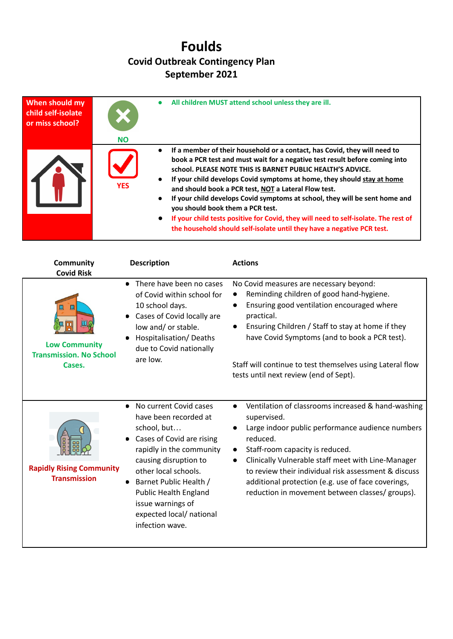## **Foulds Covid Outbreak Contingency Plan September 2021**

| When should my<br>child self-isolate<br>or miss school? | <b>NO</b>  | All children MUST attend school unless they are ill.                                                                                                                                                                                                                                                                                                                                                                                                                                                                                                                                                                                          |
|---------------------------------------------------------|------------|-----------------------------------------------------------------------------------------------------------------------------------------------------------------------------------------------------------------------------------------------------------------------------------------------------------------------------------------------------------------------------------------------------------------------------------------------------------------------------------------------------------------------------------------------------------------------------------------------------------------------------------------------|
|                                                         | <b>YFS</b> | If a member of their household or a contact, has Covid, they will need to<br>book a PCR test and must wait for a negative test result before coming into<br>school. PLEASE NOTE THIS IS BARNET PUBLIC HEALTH'S ADVICE.<br>If your child develops Covid symptoms at home, they should stay at home<br>and should book a PCR test, NOT a Lateral Flow test.<br>If your child develops Covid symptoms at school, they will be sent home and<br>you should book them a PCR test.<br>If your child tests positive for Covid, they will need to self-isolate. The rest of<br>the household should self-isolate until they have a negative PCR test. |

| <b>Community</b><br><b>Covid Risk</b>                                 | <b>Description</b>                                                                                                                                                                                                                                                                                                               | <b>Actions</b>                                                                                                                                                                                                                                                                                                                                                                                                                     |
|-----------------------------------------------------------------------|----------------------------------------------------------------------------------------------------------------------------------------------------------------------------------------------------------------------------------------------------------------------------------------------------------------------------------|------------------------------------------------------------------------------------------------------------------------------------------------------------------------------------------------------------------------------------------------------------------------------------------------------------------------------------------------------------------------------------------------------------------------------------|
| Щ<br><b>Low Community</b><br><b>Transmission. No School</b><br>Cases. | There have been no cases<br>$\bullet$<br>of Covid within school for<br>10 school days.<br>Cases of Covid locally are<br>$\bullet$<br>low and/ or stable.<br>Hospitalisation/Deaths<br>due to Covid nationally<br>are low.                                                                                                        | No Covid measures are necessary beyond:<br>Reminding children of good hand-hygiene.<br>Ensuring good ventilation encouraged where<br>$\bullet$<br>practical.<br>Ensuring Children / Staff to stay at home if they<br>$\bullet$<br>have Covid Symptoms (and to book a PCR test).<br>Staff will continue to test themselves using Lateral flow<br>tests until next review (end of Sept).                                             |
| <b>Rapidly Rising Community</b><br><b>Transmission</b>                | No current Covid cases<br>$\bullet$<br>have been recorded at<br>school, but<br>Cases of Covid are rising<br>rapidly in the community<br>causing disruption to<br>other local schools.<br>Barnet Public Health /<br>$\bullet$<br><b>Public Health England</b><br>issue warnings of<br>expected local/ national<br>infection wave. | Ventilation of classrooms increased & hand-washing<br>$\bullet$<br>supervised.<br>Large indoor public performance audience numbers<br>$\bullet$<br>reduced.<br>Staff-room capacity is reduced.<br>$\bullet$<br>Clinically Vulnerable staff meet with Line-Manager<br>to review their individual risk assessment & discuss<br>additional protection (e.g. use of face coverings,<br>reduction in movement between classes/ groups). |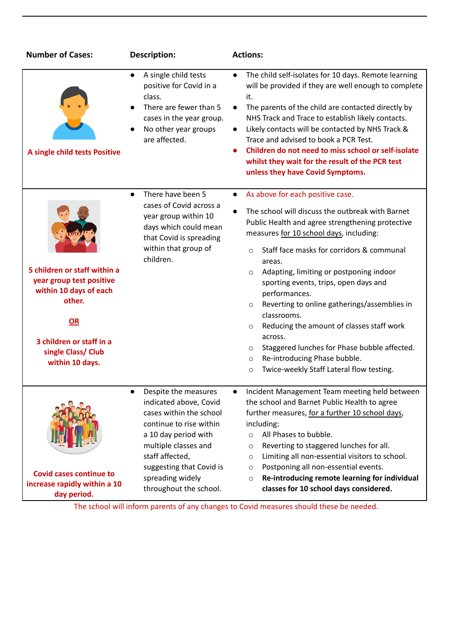| <b>Number of Cases:</b>                                                                                                                                                 | Description:                                                                                                                                                                                                                                      | <b>Actions:</b>                                                                                                                                                                                                                                                                                                                                                                                                                                                                                                                                                                                                                                                                                           |  |
|-------------------------------------------------------------------------------------------------------------------------------------------------------------------------|---------------------------------------------------------------------------------------------------------------------------------------------------------------------------------------------------------------------------------------------------|-----------------------------------------------------------------------------------------------------------------------------------------------------------------------------------------------------------------------------------------------------------------------------------------------------------------------------------------------------------------------------------------------------------------------------------------------------------------------------------------------------------------------------------------------------------------------------------------------------------------------------------------------------------------------------------------------------------|--|
| A single child tests Positive                                                                                                                                           | A single child tests<br>$\bullet$<br>positive for Covid in a<br>class.<br>There are fewer than 5<br>cases in the year group.<br>No other year groups<br>are affected.                                                                             | The child self-isolates for 10 days. Remote learning<br>$\bullet$<br>will be provided if they are well enough to complete<br>it.<br>The parents of the child are contacted directly by<br>$\bullet$<br>NHS Track and Trace to establish likely contacts.<br>Likely contacts will be contacted by NHS Track &<br>Trace and advised to book a PCR Test.<br>Children do not need to miss school or self-isolate<br>$\bullet$<br>whilst they wait for the result of the PCR test<br>unless they have Covid Symptoms.                                                                                                                                                                                          |  |
| 5 children or staff within a<br>year group test positive<br>within 10 days of each<br>other.<br>OR<br>3 children or staff in a<br>single Class/ Club<br>within 10 days. | There have been 5<br>$\bullet$<br>cases of Covid across a<br>year group within 10<br>days which could mean<br>that Covid is spreading<br>within that group of<br>children.                                                                        | As above for each positive case.<br>$\bullet$<br>The school will discuss the outbreak with Barnet<br>$\bullet$<br>Public Health and agree strengthening protective<br>measures for 10 school days, including:<br>Staff face masks for corridors & communal<br>$\circ$<br>areas.<br>Adapting, limiting or postponing indoor<br>$\circ$<br>sporting events, trips, open days and<br>performances.<br>Reverting to online gatherings/assemblies in<br>$\circ$<br>classrooms.<br>Reducing the amount of classes staff work<br>$\circ$<br>across.<br>Staggered lunches for Phase bubble affected.<br>$\circ$<br>Re-introducing Phase bubble.<br>$\circ$<br>Twice-weekly Staff Lateral flow testing.<br>$\circ$ |  |
| <b>Covid cases continue to</b><br>increase rapidly within a 10<br>day period.                                                                                           | Despite the measures<br>indicated above, Covid<br>cases within the school<br>continue to rise within<br>a 10 day period with<br>multiple classes and<br>staff affected,<br>suggesting that Covid is<br>spreading widely<br>throughout the school. | Incident Management Team meeting held between<br>the school and Barnet Public Health to agree<br>further measures, for a further 10 school days,<br>including:<br>All Phases to bubble.<br>$\circ$<br>Reverting to staggered lunches for all.<br>$\circ$<br>Limiting all non-essential visitors to school.<br>$\circ$<br>Postponing all non-essential events.<br>$\circ$<br>Re-introducing remote learning for individual<br>$\circ$<br>classes for 10 school days considered.                                                                                                                                                                                                                            |  |

The school will inform parents of any changes to Covid measures should these be needed.